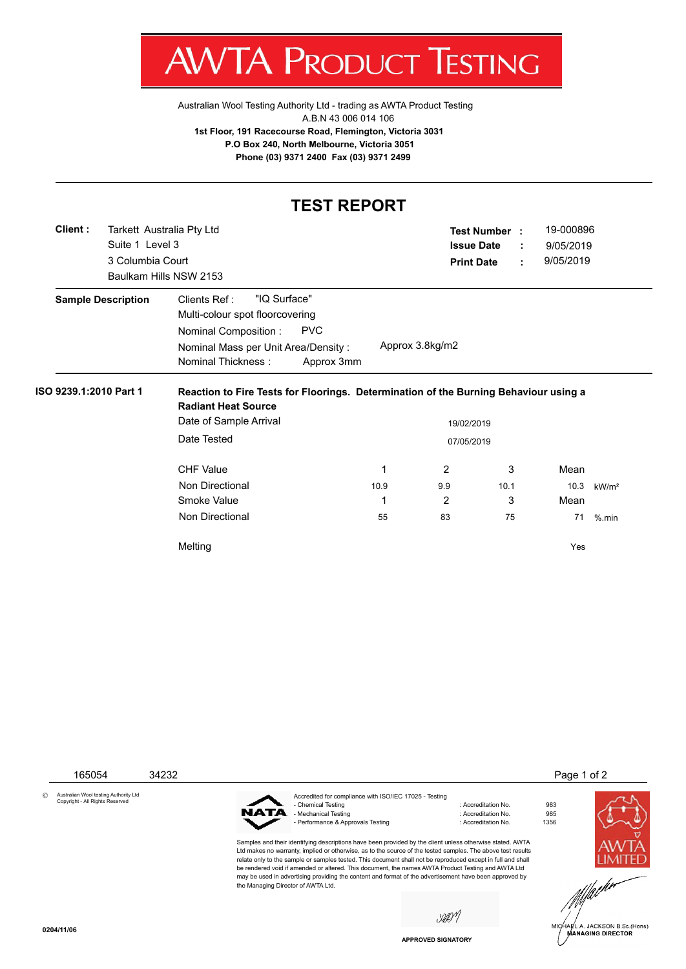$AW$ V IA. PRODU JC IESTING ı

[Australian Wool Testing Authority Ltd - trading as AWTA Product Testing](http://www.awtaproducttesting.com.au/) A.B.N 43 006 014 106 **1st Floor, 191 Racecourse Road, Flemington, Victoria 3031 P.O Box 240, North Melbourne, Victoria 3051 Phone (03) 9371 2400 Fax (03) 9371 2499**

## **TEST REPORT**

| Client:                | Tarkett Australia Pty Ltd |                                                                                                                                  |      |                   | <b>Test Number:</b> |                | 19-000896 |                   |
|------------------------|---------------------------|----------------------------------------------------------------------------------------------------------------------------------|------|-------------------|---------------------|----------------|-----------|-------------------|
|                        | Suite 1 Level 3           |                                                                                                                                  |      |                   | <b>Issue Date</b>   | ÷              | 9/05/2019 |                   |
|                        | 3 Columbia Court          |                                                                                                                                  |      | <b>Print Date</b> |                     | 9/05/2019<br>÷ |           |                   |
|                        |                           | Baulkam Hills NSW 2153                                                                                                           |      |                   |                     |                |           |                   |
|                        | <b>Sample Description</b> | "IQ Surface"<br>Clients Ref:                                                                                                     |      |                   |                     |                |           |                   |
|                        |                           | Multi-colour spot floorcovering                                                                                                  |      |                   |                     |                |           |                   |
|                        |                           | <b>PVC</b><br>Nominal Composition:                                                                                               |      |                   |                     |                |           |                   |
|                        |                           | Approx 3.8kg/m2<br>Nominal Mass per Unit Area/Density:                                                                           |      |                   |                     |                |           |                   |
|                        |                           | Nominal Thickness:                                                                                                               |      |                   |                     |                |           |                   |
| ISO 9239.1:2010 Part 1 |                           | Approx 3mm<br>Reaction to Fire Tests for Floorings. Determination of the Burning Behaviour using a<br><b>Radiant Heat Source</b> |      |                   |                     |                |           |                   |
|                        |                           | Date of Sample Arrival                                                                                                           |      | 19/02/2019        |                     |                |           |                   |
|                        |                           | Date Tested                                                                                                                      |      | 07/05/2019        |                     |                |           |                   |
|                        |                           | <b>CHF Value</b>                                                                                                                 | 1    | $\overline{2}$    | 3                   |                | Mean      |                   |
|                        |                           | Non Directional                                                                                                                  | 10.9 | 9.9               | 10.1                |                | 10.3      | kW/m <sup>2</sup> |
|                        |                           | Smoke Value                                                                                                                      | 1    | 2                 | 3                   |                | Mean      |                   |
|                        |                           | Non Directional                                                                                                                  | 55   | 83                | 75                  |                | 71        | $%$ .min          |



**APPROVED SIGNATORY**